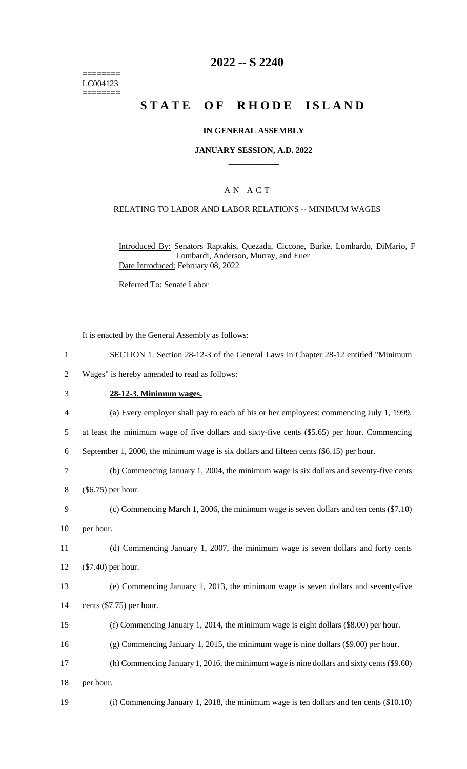======== LC004123 ========

## **2022 -- S 2240**

# **STATE OF RHODE ISLAND**

#### **IN GENERAL ASSEMBLY**

## **JANUARY SESSION, A.D. 2022 \_\_\_\_\_\_\_\_\_\_\_\_**

## A N A C T

#### RELATING TO LABOR AND LABOR RELATIONS -- MINIMUM WAGES

Introduced By: Senators Raptakis, Quezada, Ciccone, Burke, Lombardo, DiMario, F Lombardi, Anderson, Murray, and Euer Date Introduced: February 08, 2022

Referred To: Senate Labor

It is enacted by the General Assembly as follows:

|                | SECTION 1. Section 28-12-3 of the General Laws in Chapter 28-12 entitled "Minimum"     |
|----------------|----------------------------------------------------------------------------------------|
| 2              | Wages" is hereby amended to read as follows:                                           |
| 3              | 28-12-3. Minimum wages.                                                                |
| $\overline{4}$ | (a) Every employer shall pay to each of his or her employees: commencing July 1, 1999, |

5 at least the minimum wage of five dollars and sixty-five cents (\$5.65) per hour. Commencing

6 September 1, 2000, the minimum wage is six dollars and fifteen cents (\$6.15) per hour.

7 (b) Commencing January 1, 2004, the minimum wage is six dollars and seventy-five cents

8 (\$6.75) per hour.

9 (c) Commencing March 1, 2006, the minimum wage is seven dollars and ten cents (\$7.10) 10 per hour.

11 (d) Commencing January 1, 2007, the minimum wage is seven dollars and forty cents 12 (\$7.40) per hour.

13 (e) Commencing January 1, 2013, the minimum wage is seven dollars and seventy-five 14 cents (\$7.75) per hour.

15 (f) Commencing January 1, 2014, the minimum wage is eight dollars (\$8.00) per hour.

16 (g) Commencing January 1, 2015, the minimum wage is nine dollars (\$9.00) per hour.

17 (h) Commencing January 1, 2016, the minimum wage is nine dollars and sixty cents (\$9.60) 18 per hour.

19 (i) Commencing January 1, 2018, the minimum wage is ten dollars and ten cents (\$10.10)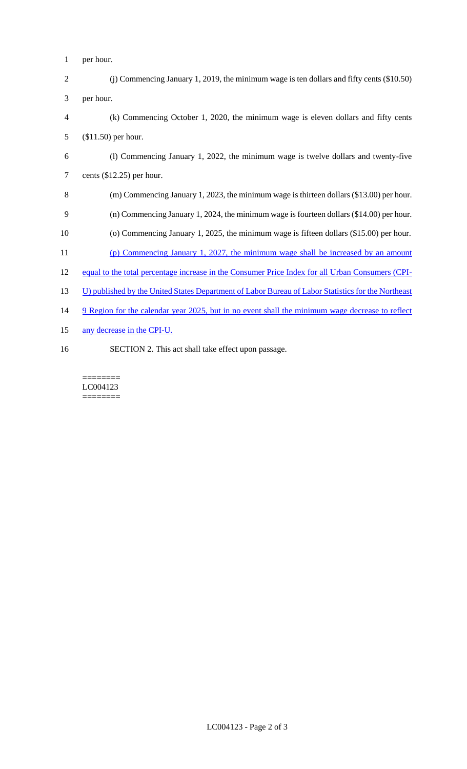- per hour.
- (j) Commencing January 1, 2019, the minimum wage is ten dollars and fifty cents (\$10.50) per hour.
- (k) Commencing October 1, 2020, the minimum wage is eleven dollars and fifty cents (\$11.50) per hour.
- (l) Commencing January 1, 2022, the minimum wage is twelve dollars and twenty-five cents (\$12.25) per hour.
- (m) Commencing January 1, 2023, the minimum wage is thirteen dollars (\$13.00) per hour.
- (n) Commencing January 1, 2024, the minimum wage is fourteen dollars (\$14.00) per hour.
- (o) Commencing January 1, 2025, the minimum wage is fifteen dollars (\$15.00) per hour.
- (p) Commencing January 1, 2027, the minimum wage shall be increased by an amount
- equal to the total percentage increase in the Consumer Price Index for all Urban Consumers (CPI-
- 13 U) published by the United States Department of Labor Bureau of Labor Statistics for the Northeast
- 14 9 Region for the calendar year 2025, but in no event shall the minimum wage decrease to reflect
- any decrease in the CPI-U.
- SECTION 2. This act shall take effect upon passage.

======== LC004123 ========